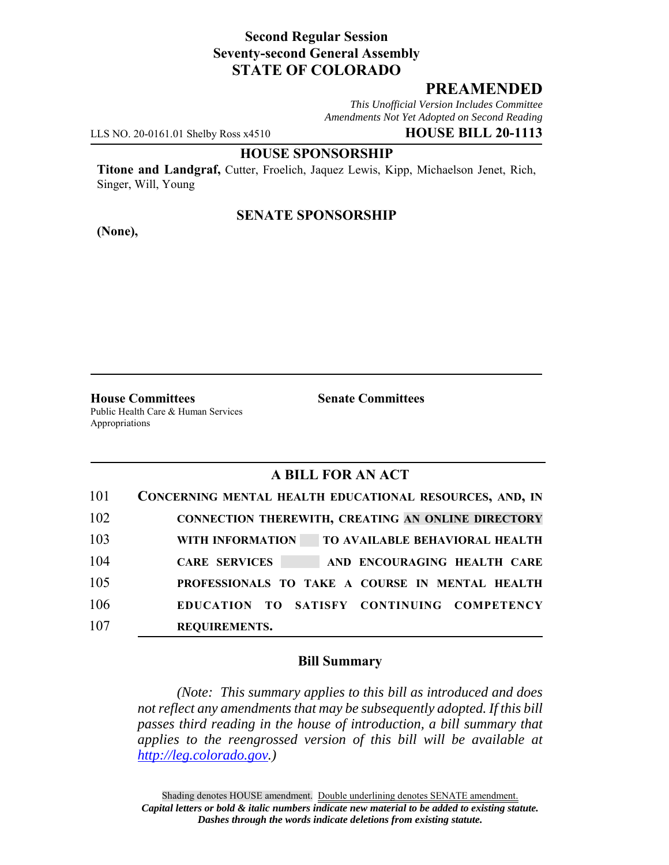# **Second Regular Session Seventy-second General Assembly STATE OF COLORADO**

# **PREAMENDED**

*This Unofficial Version Includes Committee Amendments Not Yet Adopted on Second Reading*

LLS NO. 20-0161.01 Shelby Ross x4510 **HOUSE BILL 20-1113**

#### **HOUSE SPONSORSHIP**

**Titone and Landgraf,** Cutter, Froelich, Jaquez Lewis, Kipp, Michaelson Jenet, Rich, Singer, Will, Young

### **SENATE SPONSORSHIP**

**(None),**

**House Committees Senate Committees** Public Health Care & Human Services Appropriations

## **A BILL FOR AN ACT**

| 101 | CONCERNING MENTAL HEALTH EDUCATIONAL RESOURCES, AND, IN          |
|-----|------------------------------------------------------------------|
| 102 | <b>CONNECTION THEREWITH, CREATING AN ONLINE DIRECTORY</b>        |
| 103 | <b>WITH INFORMATION</b><br><b>TO AVAILABLE BEHAVIORAL HEALTH</b> |
| 104 | <b>CARE SERVICES</b><br>AND ENCOURAGING HEALTH CARE              |
| 105 | PROFESSIONALS TO TAKE A COURSE IN MENTAL HEALTH                  |
| 106 | EDUCATION TO SATISFY CONTINUING COMPETENCY                       |
| 107 | <b>REQUIREMENTS.</b>                                             |

### **Bill Summary**

*(Note: This summary applies to this bill as introduced and does not reflect any amendments that may be subsequently adopted. If this bill passes third reading in the house of introduction, a bill summary that applies to the reengrossed version of this bill will be available at http://leg.colorado.gov.)*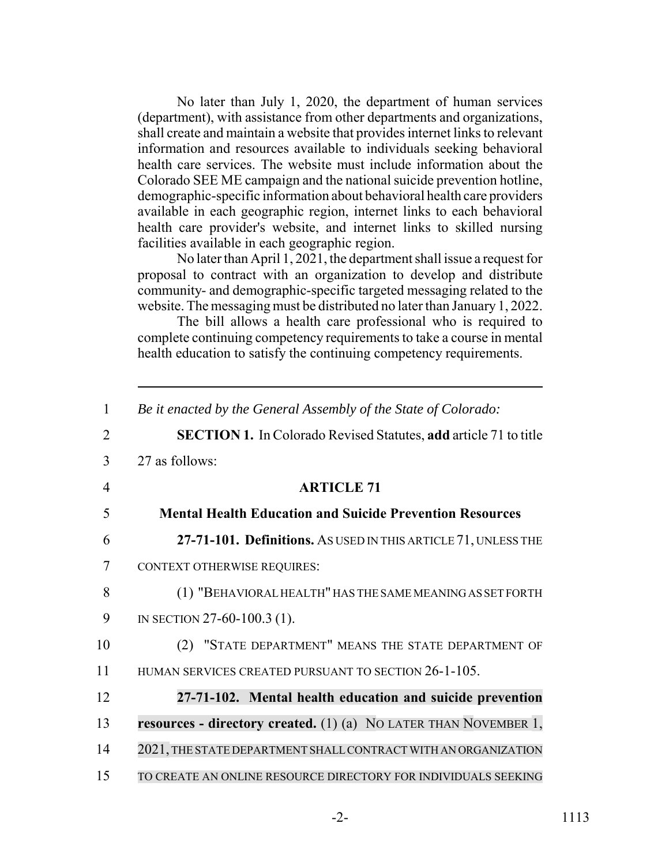No later than July 1, 2020, the department of human services (department), with assistance from other departments and organizations, shall create and maintain a website that provides internet links to relevant information and resources available to individuals seeking behavioral health care services. The website must include information about the Colorado SEE ME campaign and the national suicide prevention hotline, demographic-specific information about behavioral health care providers available in each geographic region, internet links to each behavioral health care provider's website, and internet links to skilled nursing facilities available in each geographic region.

No later than April 1, 2021, the department shall issue a request for proposal to contract with an organization to develop and distribute community- and demographic-specific targeted messaging related to the website. The messaging must be distributed no later than January 1, 2022.

The bill allows a health care professional who is required to complete continuing competency requirements to take a course in mental health education to satisfy the continuing competency requirements.

| 1              | Be it enacted by the General Assembly of the State of Colorado:            |
|----------------|----------------------------------------------------------------------------|
| $\overline{2}$ | <b>SECTION 1.</b> In Colorado Revised Statutes, add article 71 to title    |
| 3              | 27 as follows:                                                             |
| $\overline{4}$ | <b>ARTICLE 71</b>                                                          |
| 5              | <b>Mental Health Education and Suicide Prevention Resources</b>            |
| 6              | 27-71-101. Definitions. AS USED IN THIS ARTICLE 71, UNLESS THE             |
| 7              | CONTEXT OTHERWISE REQUIRES:                                                |
| 8              | (1) "BEHAVIORAL HEALTH" HAS THE SAME MEANING AS SET FORTH                  |
| 9              | IN SECTION 27-60-100.3 (1).                                                |
| 10             | (2) "STATE DEPARTMENT" MEANS THE STATE DEPARTMENT OF                       |
| 11             | HUMAN SERVICES CREATED PURSUANT TO SECTION 26-1-105.                       |
| 12             | 27-71-102. Mental health education and suicide prevention                  |
| 13             | <b>resources - directory created.</b> (1) (a) NO LATER THAN NOVEMBER $1$ , |
| 14             | 2021, THE STATE DEPARTMENT SHALL CONTRACT WITH AN ORGANIZATION             |
| 15             | TO CREATE AN ONLINE RESOURCE DIRECTORY FOR INDIVIDUALS SEEKING             |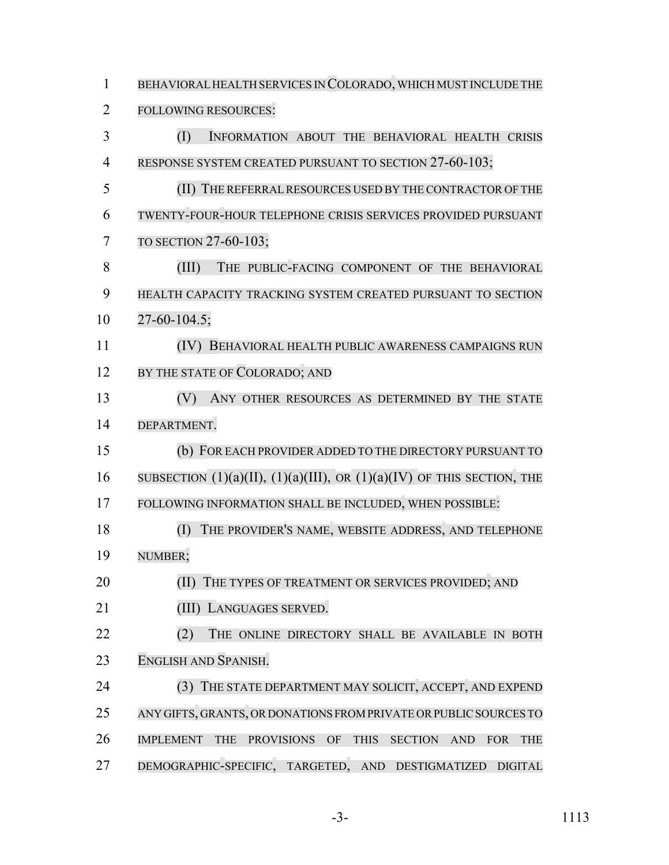BEHAVIORALHEALTH SERVICES IN COLORADO, WHICH MUST INCLUDE THE FOLLOWING RESOURCES: (I) INFORMATION ABOUT THE BEHAVIORAL HEALTH CRISIS 4 RESPONSE SYSTEM CREATED PURSUANT TO SECTION 27-60-103; (II) THE REFERRALRESOURCES USED BY THE CONTRACTOR OF THE TWENTY-FOUR-HOUR TELEPHONE CRISIS SERVICES PROVIDED PURSUANT TO SECTION 27-60-103; (III) THE PUBLIC-FACING COMPONENT OF THE BEHAVIORAL HEALTH CAPACITY TRACKING SYSTEM CREATED PURSUANT TO SECTION 27-60-104.5; (IV) BEHAVIORAL HEALTH PUBLIC AWARENESS CAMPAIGNS RUN 12 BY THE STATE OF COLORADO; AND (V) ANY OTHER RESOURCES AS DETERMINED BY THE STATE DEPARTMENT. (b) FOR EACH PROVIDER ADDED TO THE DIRECTORY PURSUANT TO 16 SUBSECTION  $(1)(a)(II)$ ,  $(1)(a)(III)$ , OR  $(1)(a)(IV)$  OF THIS SECTION, THE FOLLOWING INFORMATION SHALL BE INCLUDED, WHEN POSSIBLE: (I) THE PROVIDER'S NAME, WEBSITE ADDRESS, AND TELEPHONE NUMBER; 20 (II) THE TYPES OF TREATMENT OR SERVICES PROVIDED; AND (III) LANGUAGES SERVED. 22 (2) THE ONLINE DIRECTORY SHALL BE AVAILABLE IN BOTH ENGLISH AND SPANISH. 24 (3) THE STATE DEPARTMENT MAY SOLICIT, ACCEPT, AND EXPEND ANY GIFTS, GRANTS, OR DONATIONS FROM PRIVATE OR PUBLIC SOURCES TO IMPLEMENT THE PROVISIONS OF THIS SECTION AND FOR THE DEMOGRAPHIC-SPECIFIC, TARGETED, AND DESTIGMATIZED DIGITAL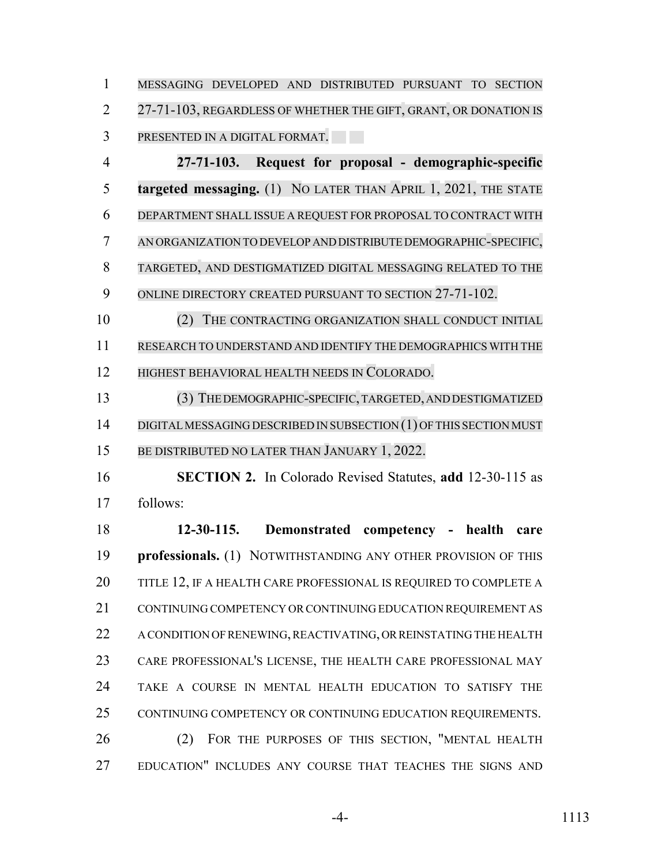MESSAGING DEVELOPED AND DISTRIBUTED PURSUANT TO SECTION 2 27-71-103, REGARDLESS OF WHETHER THE GIFT, GRANT, OR DONATION IS PRESENTED IN A DIGITAL FORMAT.

 **27-71-103. Request for proposal - demographic-specific targeted messaging.** (1) NO LATER THAN APRIL 1, 2021, THE STATE DEPARTMENT SHALL ISSUE A REQUEST FOR PROPOSAL TO CONTRACT WITH AN ORGANIZATION TO DEVELOP AND DISTRIBUTE DEMOGRAPHIC-SPECIFIC, TARGETED, AND DESTIGMATIZED DIGITAL MESSAGING RELATED TO THE 9 ONLINE DIRECTORY CREATED PURSUANT TO SECTION 27-71-102.

 (2) THE CONTRACTING ORGANIZATION SHALL CONDUCT INITIAL RESEARCH TO UNDERSTAND AND IDENTIFY THE DEMOGRAPHICS WITH THE HIGHEST BEHAVIORAL HEALTH NEEDS IN COLORADO.

 (3) THE DEMOGRAPHIC-SPECIFIC,TARGETED,ANDDESTIGMATIZED 14 DIGITAL MESSAGING DESCRIBED IN SUBSECTION (1) OF THIS SECTION MUST BE DISTRIBUTED NO LATER THAN JANUARY 1, 2022.

 **SECTION 2.** In Colorado Revised Statutes, **add** 12-30-115 as follows:

 **12-30-115. Demonstrated competency - health care professionals.** (1) NOTWITHSTANDING ANY OTHER PROVISION OF THIS 20 TITLE 12, IF A HEALTH CARE PROFESSIONAL IS REQUIRED TO COMPLETE A 21 CONTINUING COMPETENCY OR CONTINUING EDUCATION REQUIREMENT AS 22 A CONDITION OF RENEWING, REACTIVATING, OR REINSTATING THE HEALTH CARE PROFESSIONAL'S LICENSE, THE HEALTH CARE PROFESSIONAL MAY TAKE A COURSE IN MENTAL HEALTH EDUCATION TO SATISFY THE CONTINUING COMPETENCY OR CONTINUING EDUCATION REQUIREMENTS. (2) FOR THE PURPOSES OF THIS SECTION, "MENTAL HEALTH EDUCATION" INCLUDES ANY COURSE THAT TEACHES THE SIGNS AND